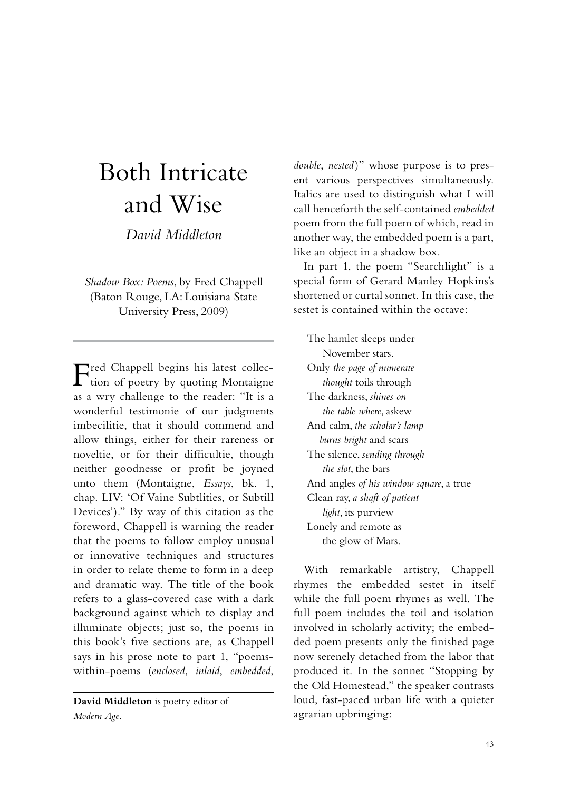## Both Intricate and Wise

*David Middleton*

*Shadow Box: Poems*, by Fred Chappell (Baton Rouge, LA: Louisiana State University Press, 2009)

Fred Chappell begins his latest collec-tion of poetry by quoting Montaigne as a wry challenge to the reader: "It is a wonderful testimonie of our judgments imbecilitie, that it should commend and allow things, either for their rareness or noveltie, or for their difficultie, though neither goodnesse or profit be joyned unto them (Montaigne, *Essays*, bk. 1, chap. LIV: 'Of Vaine Subtlities, or Subtill Devices')." By way of this citation as the foreword, Chappell is warning the reader that the poems to follow employ unusual or innovative techniques and structures in order to relate theme to form in a deep and dramatic way. The title of the book refers to a glass-covered case with a dark background against which to display and illuminate objects; just so, the poems in this book's five sections are, as Chappell says in his prose note to part 1, "poemswithin-poems (*enclosed*, *inlaid*, *embedded*,

**David Middleton** is poetry editor of *Modern Age*.

*double*, *nested* )" whose purpose is to present various perspectives simultaneously. Italics are used to distinguish what I will call henceforth the self-contained *embedded* poem from the full poem of which, read in another way, the embedded poem is a part, like an object in a shadow box.

In part 1, the poem "Searchlight" is a special form of Gerard Manley Hopkins's shortened or curtal sonnet. In this case, the sestet is contained within the octave:

The hamlet sleeps under November stars. Only *the page of numerate thought* toils through The darkness, *shines on the table where*, askew And calm, *the scholar's lamp burns bright* and scars The silence, *sending through the slot*, the bars And angles *of his window square*, a true Clean ray, *a shaft of patient light*, its purview Lonely and remote as the glow of Mars.

With remarkable artistry, Chappell rhymes the embedded sestet in itself while the full poem rhymes as well. The full poem includes the toil and isolation involved in scholarly activity; the embedded poem presents only the finished page now serenely detached from the labor that produced it. In the sonnet "Stopping by the Old Homestead," the speaker contrasts loud, fast-paced urban life with a quieter agrarian upbringing: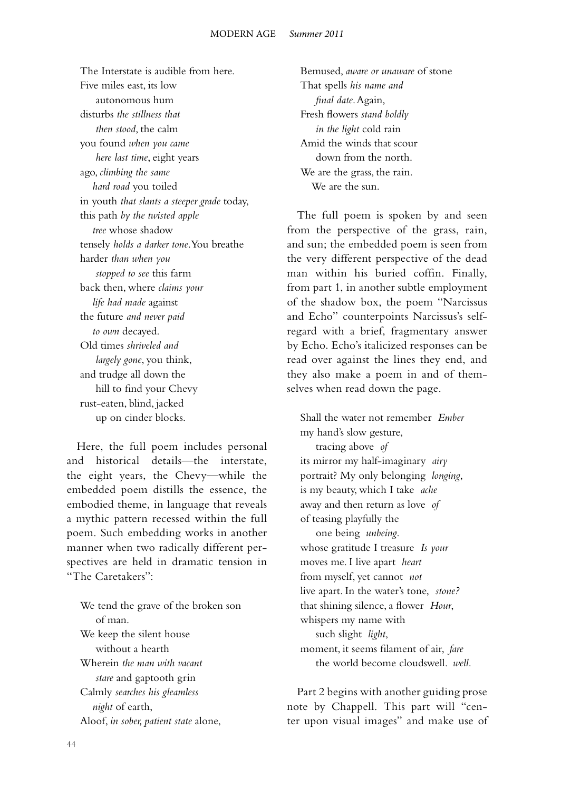The Interstate is audible from here. Five miles east, its low autonomous hum disturbs *the stillness that then stood*, the calm you found *when you came here last time*, eight years ago, *climbing the same hard road* you toiled in youth *that slants a steeper grade* today, this path *by the twisted apple tree* whose shadow tensely *holds a darker tone*. You breathe harder *than when you stopped to see* this farm back then, where *claims your life had made* against the future *and never paid to own* decayed. Old times *shriveled and largely gone*, you think, and trudge all down the hill to find your Chevy rust-eaten, blind, jacked up on cinder blocks.

Here, the full poem includes personal and historical details—the interstate, the eight years, the Chevy—while the embedded poem distills the essence, the embodied theme, in language that reveals a mythic pattern recessed within the full poem. Such embedding works in another manner when two radically different perspectives are held in dramatic tension in "The Caretakers":

We tend the grave of the broken son of man. We keep the silent house without a hearth Wherein *the man with vacant stare* and gaptooth grin Calmly *searches his gleamless night* of earth, Aloof, *in sober, patient state* alone,

Bemused, *aware or unaware* of stone That spells *his name and final date*. Again, Fresh flowers *stand boldly in the light* cold rain Amid the winds that scour down from the north. We are the grass, the rain. We are the sun.

The full poem is spoken by and seen from the perspective of the grass, rain, and sun; the embedded poem is seen from the very different perspective of the dead man within his buried coffin. Finally, from part 1, in another subtle employment of the shadow box, the poem "Narcissus and Echo" counterpoints Narcissus's selfregard with a brief, fragmentary answer by Echo. Echo's italicized responses can be read over against the lines they end, and they also make a poem in and of themselves when read down the page.

Shall the water not remember *Ember* my hand's slow gesture, tracing above *of* its mirror my half-imaginary *airy* portrait? My only belonging *longing*, is my beauty, which I take *ache* away and then return as love *of* of teasing playfully the one being *unbeing*. whose gratitude I treasure *Is your* moves me. I live apart *heart* from myself, yet cannot *not* live apart. In the water's tone, *stone?* that shining silence, a flower *Hour*, whispers my name with such slight *light*, moment, it seems filament of air, *fare* the world become cloudswell. *well*.

Part 2 begins with another guiding prose note by Chappell. This part will "center upon visual images" and make use of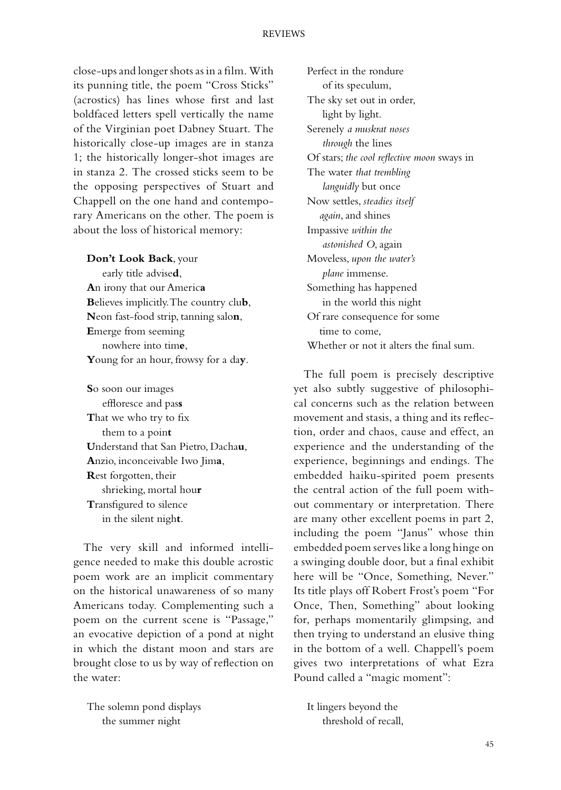close-ups and longer shots as in a film. With its punning title, the poem "Cross Sticks" (acrostics) has lines whose first and last boldfaced letters spell vertically the name of the Virginian poet Dabney Stuart. The historically close-up images are in stanza 1; the historically longer-shot images are in stanza 2. The crossed sticks seem to be the opposing perspectives of Stuart and Chappell on the one hand and contemporary Americans on the other. The poem is about the loss of historical memory:

**Don't Look Back**, your early title advise**d**, **A**n irony that our Americ**a B**elieves implicitly. The country clu**b**, **N**eon fast-food strip, tanning salo**n**, **E**merge from seeming nowhere into tim**e**, **Y**oung for an hour, frowsy for a da**y**.

**S**o soon our images effloresce and pas**s T**hat we who try to fix them to a poin**t U**nderstand that San Pietro, Dacha**u**, **A**nzio, inconceivable Iwo Jim**a**, **R**est forgotten, their shrieking, mortal hou**r T**ransfigured to silence in the silent nigh**t**.

The very skill and informed intelligence needed to make this double acrostic poem work are an implicit commentary on the historical unawareness of so many Americans today. Complementing such a poem on the current scene is "Passage," an evocative depiction of a pond at night in which the distant moon and stars are brought close to us by way of reflection on the water:

The solemn pond displays the summer night

Perfect in the rondure of its speculum, The sky set out in order, light by light. Serenely *a muskrat noses through* the lines Of stars; *the cool reflective moon* sways in The water *that trembling languidly* but once Now settles, *steadies itself again*, and shines Impassive *within the astonished O*, again Moveless, *upon the water's plane* immense. Something has happened in the world this night Of rare consequence for some time to come, Whether or not it alters the final sum.

The full poem is precisely descriptive yet also subtly suggestive of philosophical concerns such as the relation between movement and stasis, a thing and its reflection, order and chaos, cause and effect, an experience and the understanding of the experience, beginnings and endings. The embedded haiku-spirited poem presents the central action of the full poem without commentary or interpretation. There are many other excellent poems in part 2, including the poem "Janus" whose thin embedded poem serves like a long hinge on a swinging double door, but a final exhibit here will be "Once, Something, Never." Its title plays off Robert Frost's poem "For Once, Then, Something" about looking for, perhaps momentarily glimpsing, and then trying to understand an elusive thing in the bottom of a well. Chappell's poem gives two interpretations of what Ezra Pound called a "magic moment":

It lingers beyond the threshold of recall,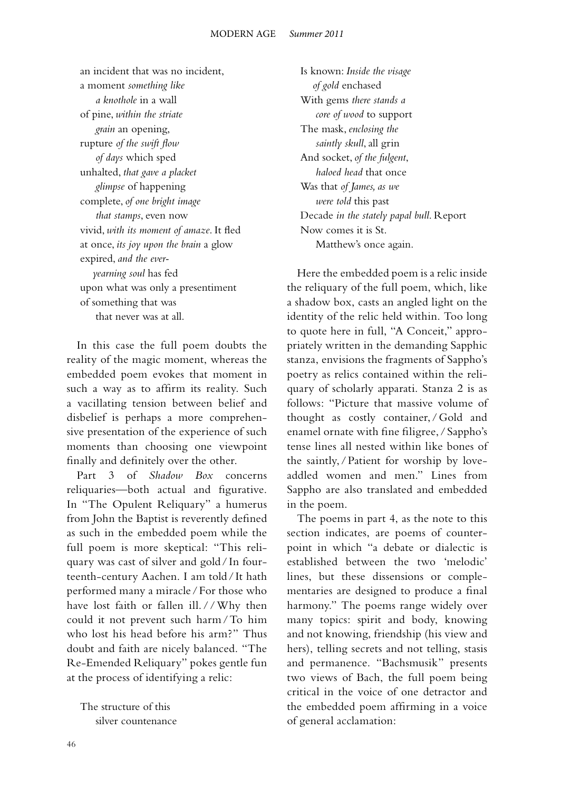an incident that was no incident, a moment *something like a knothole* in a wall of pine, *within the striate grain* an opening, rupture *of the swift flow of days* which sped unhalted, *that gave a placket glimpse* of happening complete, *of one bright image that stamps*, even now vivid, *with its moment of amaze*. It fled at once, *its joy upon the brain* a glow expired, *and the ever yearning soul* has fed upon what was only a presentiment of something that was that never was at all.

In this case the full poem doubts the reality of the magic moment, whereas the embedded poem evokes that moment in such a way as to affirm its reality. Such a vacillating tension between belief and disbelief is perhaps a more comprehensive presentation of the experience of such moments than choosing one viewpoint finally and definitely over the other.

Part 3 of *Shadow Box* concerns reliquaries—both actual and figurative. In "The Opulent Reliquary" a humerus from John the Baptist is reverently defined as such in the embedded poem while the full poem is more skeptical: "This reliquary was cast of silver and gold/ In fourteenth-century Aachen. I am told / It hath performed many a miracle /For those who have lost faith or fallen ill. / / Why then could it not prevent such harm/To him who lost his head before his arm?" Thus doubt and faith are nicely balanced. "The Re-Emended Reliquary" pokes gentle fun at the process of identifying a relic:

The structure of this silver countenance

Is known: *Inside the visage of gold* enchased With gems *there stands a core of wood* to support The mask, *enclosing the saintly skull*, all grin And socket, *of the fulgent*,  *haloed head* that once Was that *of James, as we were told* this past Decade *in the stately papal bull*. Report Now comes it is St. Matthew's once again.

Here the embedded poem is a relic inside the reliquary of the full poem, which, like a shadow box, casts an angled light on the identity of the relic held within. Too long to quote here in full, "A Conceit," appropriately written in the demanding Sapphic stanza, envisions the fragments of Sappho's poetry as relics contained within the reliquary of scholarly apparati. Stanza 2 is as follows: "Picture that massive volume of thought as costly container, /Gold and enamel ornate with fine filigree, / Sappho's tense lines all nested within like bones of the saintly, /Patient for worship by loveaddled women and men." Lines from Sappho are also translated and embedded in the poem.

The poems in part 4, as the note to this section indicates, are poems of counterpoint in which "a debate or dialectic is established between the two 'melodic' lines, but these dissensions or complementaries are designed to produce a final harmony." The poems range widely over many topics: spirit and body, knowing and not knowing, friendship (his view and hers), telling secrets and not telling, stasis and permanence. "Bachsmusik" presents two views of Bach, the full poem being critical in the voice of one detractor and the embedded poem affirming in a voice of general acclamation: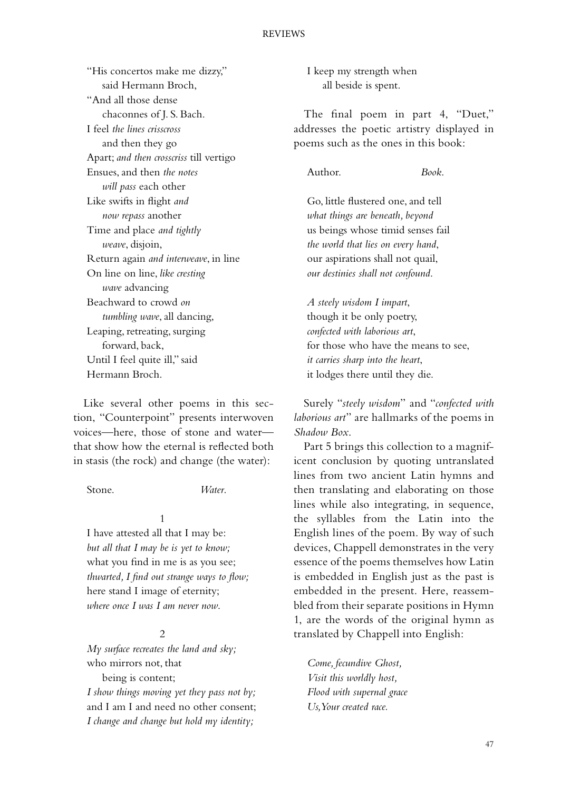"His concertos make me dizzy," said Hermann Broch, "And all those dense chaconnes of J. S. Bach. I feel *the lines crisscross* and then they go Apart; *and then crosscriss* till vertigo Ensues, and then *the notes will pass* each other Like swifts in flight *and now repass* another Time and place *and tightly weave*, disjoin, Return again *and interweave*, in line On line on line, *like cresting wave* advancing Beachward to crowd *on tumbling wave*, all dancing, Leaping, retreating, surging forward, back, Until I feel quite ill," said Hermann Broch.

Like several other poems in this section, "Counterpoint" presents interwoven voices—here, those of stone and water that show how the eternal is reflected both in stasis (the rock) and change (the water):

Stone. *Water*.

 1 I have attested all that I may be: *but all that I may be is yet to know;* what you find in me is as you see; *thwarted, I find out strange ways to flow;* here stand I image of eternity; *where once I was I am never now*.

## 2

*My surface recreates the land and sky;* who mirrors not, that being is content;

*I show things moving yet they pass not by;* and I am I and need no other consent; *I change and change but hold my identity;*

I keep my strength when all beside is spent.

The final poem in part 4, "Duet," addresses the poetic artistry displayed in poems such as the ones in this book:

Author. *Book*.

Go, little flustered one, and tell *what things are beneath, beyond* us beings whose timid senses fail *the world that lies on every hand*, our aspirations shall not quail, *our destinies shall not confound*.

*A steely wisdom I impart*, though it be only poetry, *confected with laborious art*, for those who have the means to see, *it carries sharp into the heart*, it lodges there until they die.

Surely "*steely wisdom*" and "*confected with laborious art*" are hallmarks of the poems in *Shadow Box*.

Part 5 brings this collection to a magnificent conclusion by quoting untranslated lines from two ancient Latin hymns and then translating and elaborating on those lines while also integrating, in sequence, the syllables from the Latin into the English lines of the poem. By way of such devices, Chappell demonstrates in the very essence of the poems themselves how Latin is embedded in English just as the past is embedded in the present. Here, reassembled from their separate positions in Hymn 1, are the words of the original hymn as translated by Chappell into English:

*Come, fecundive Ghost, Visit this worldly host, Flood with supernal grace Us, Your created race.*